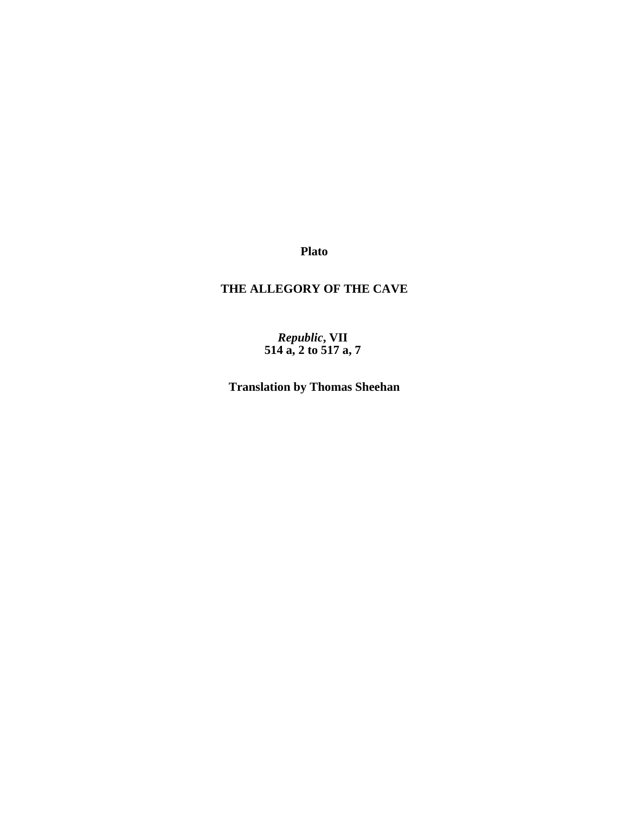**Plato**

# **THE ALLEGORY OF THE CAVE**

# *Republic***, VII 514 a, 2 to 517 a, 7**

**Translation by Thomas Sheehan**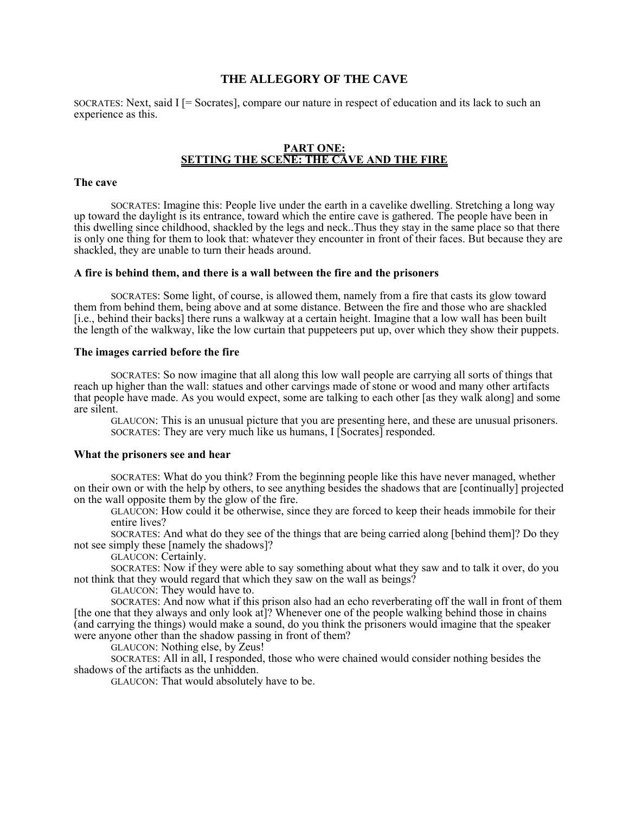# **THE ALLEGORY OF THE CAVE**

SOCRATES: Next, said I [= Socrates], compare our nature in respect of education and its lack to such an experience as this.

# **PART ONE: SETTING THE SCENE: THE CAVE AND THE FIRE**

#### **The cave**

SOCRATES: Imagine this: People live under the earth in a cavelike dwelling. Stretching a long way up toward the daylight is its entrance, toward which the entire cave is gathered. The people have been in this dwelling since childhood, shackled by the legs and neck..Thus they stay in the same place so that there is only one thing for them to look that: whatever they encounter in front of their faces. But because they are shackled, they are unable to turn their heads around.

#### **A fire is behind them, and there is a wall between the fire and the prisoners**

SOCRATES: Some light, of course, is allowed them, namely from a fire that casts its glow toward them from behind them, being above and at some distance. Between the fire and those who are shackled [i.e., behind their backs] there runs a walkway at a certain height. Imagine that a low wall has been built the length of the walkway, like the low curtain that puppeteers put up, over which they show their puppets.

#### **The images carried before the fire**

SOCRATES: So now imagine that all along this low wall people are carrying all sorts of things that reach up higher than the wall: statues and other carvings made of stone or wood and many other artifacts that people have made. As you would expect, some are talking to each other [as they walk along] and some are silent.

GLAUCON: This is an unusual picture that you are presenting here, and these are unusual prisoners. SOCRATES: They are very much like us humans, I [Socrates] responded.

#### **What the prisoners see and hear**

SOCRATES: What do you think? From the beginning people like this have never managed, whether on their own or with the help by others, to see anything besides the shadows that are [continually] projected on the wall opposite them by the glow of the fire.

GLAUCON: How could it be otherwise, since they are forced to keep their heads immobile for their entire lives?

SOCRATES: And what do they see of the things that are being carried along [behind them]? Do they not see simply these [namely the shadows]?

GLAUCON: Certainly.

SOCRATES: Now if they were able to say something about what they saw and to talk it over, do you not think that they would regard that which they saw on the wall as beings?

GLAUCON: They would have to.

SOCRATES: And now what if this prison also had an echo reverberating off the wall in front of them [the one that they always and only look at]? Whenever one of the people walking behind those in chains (and carrying the things) would make a sound, do you think the prisoners would imagine that the speaker were anyone other than the shadow passing in front of them?

GLAUCON: Nothing else, by Zeus!

SOCRATES: All in all, I responded, those who were chained would consider nothing besides the shadows of the artifacts as the unhidden.

GLAUCON: That would absolutely have to be.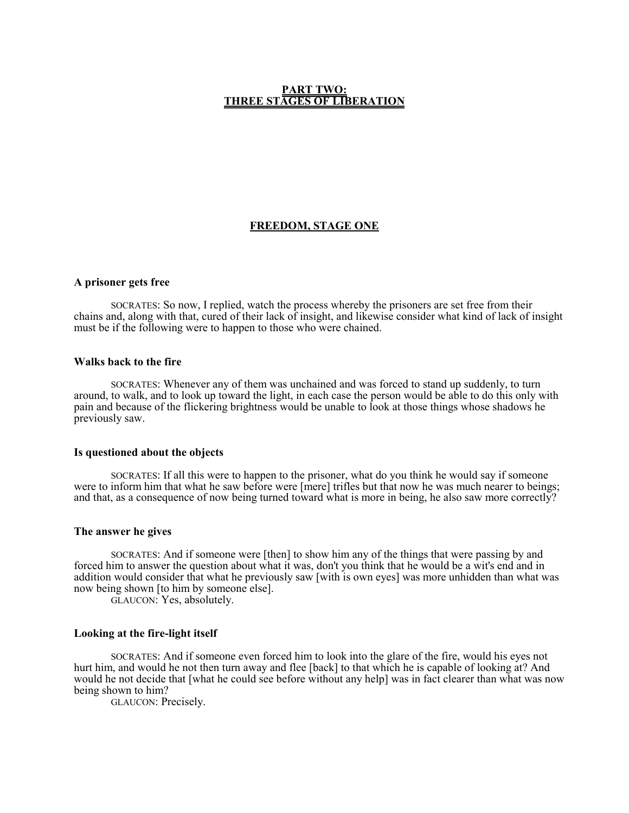### **PART TWO: THREE STAGES OF LIBERATION**

### **FREEDOM, STAGE ONE**

### **A prisoner gets free**

SOCRATES: So now, I replied, watch the process whereby the prisoners are set free from their chains and, along with that, cured of their lack of insight, and likewise consider what kind of lack of insight must be if the following were to happen to those who were chained.

#### **Walks back to the fire**

SOCRATES: Whenever any of them was unchained and was forced to stand up suddenly, to turn around, to walk, and to look up toward the light, in each case the person would be able to do this only with pain and because of the flickering brightness would be unable to look at those things whose shadows he previously saw.

#### **Is questioned about the objects**

SOCRATES: If all this were to happen to the prisoner, what do you think he would say if someone were to inform him that what he saw before were [mere] trifles but that now he was much nearer to beings; and that, as a consequence of now being turned toward what is more in being, he also saw more correctly?

#### **The answer he gives**

SOCRATES: And if someone were [then] to show him any of the things that were passing by and forced him to answer the question about what it was, don't you think that he would be a wit's end and in addition would consider that what he previously saw [with is own eyes] was more unhidden than what was now being shown [to him by someone else].

GLAUCON: Yes, absolutely.

#### **Looking at the fire-light itself**

SOCRATES: And if someone even forced him to look into the glare of the fire, would his eyes not hurt him, and would he not then turn away and flee [back] to that which he is capable of looking at? And would he not decide that [what he could see before without any help] was in fact clearer than what was now being shown to him?

GLAUCON: Precisely.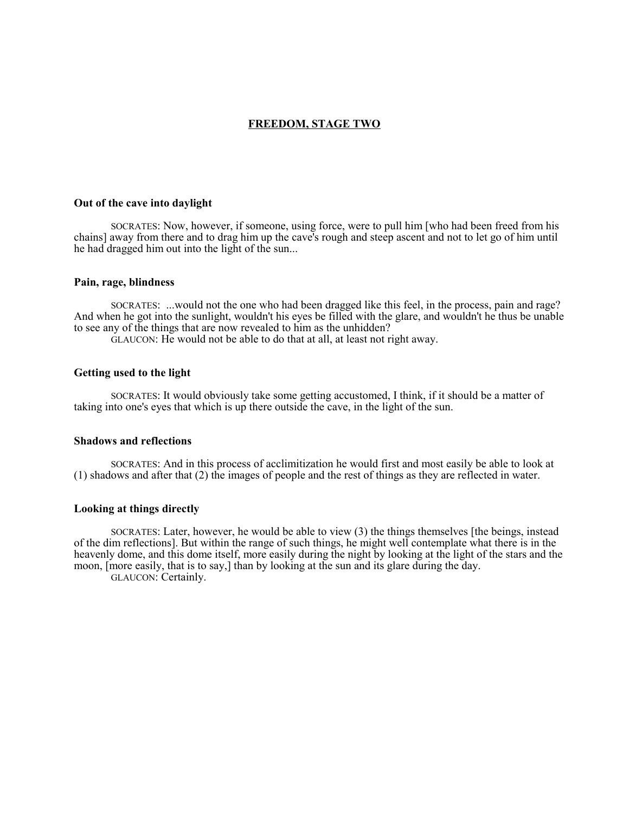# **FREEDOM, STAGE TWO**

### **Out of the cave into daylight**

SOCRATES: Now, however, if someone, using force, were to pull him [who had been freed from his chains] away from there and to drag him up the cave's rough and steep ascent and not to let go of him until he had dragged him out into the light of the sun...

#### **Pain, rage, blindness**

SOCRATES: ...would not the one who had been dragged like this feel, in the process, pain and rage? And when he got into the sunlight, wouldn't his eyes be filled with the glare, and wouldn't he thus be unable to see any of the things that are now revealed to him as the unhidden?

GLAUCON: He would not be able to do that at all, at least not right away.

# **Getting used to the light**

SOCRATES: It would obviously take some getting accustomed, I think, if it should be a matter of taking into one's eyes that which is up there outside the cave, in the light of the sun.

#### **Shadows and reflections**

SOCRATES: And in this process of acclimitization he would first and most easily be able to look at (1) shadows and after that (2) the images of people and the rest of things as they are reflected in water.

#### **Looking at things directly**

SOCRATES: Later, however, he would be able to view (3) the things themselves [the beings, instead of the dim reflections]. But within the range of such things, he might well contemplate what there is in the heavenly dome, and this dome itself, more easily during the night by looking at the light of the stars and the moon, [more easily, that is to say,] than by looking at the sun and its glare during the day.

GLAUCON: Certainly.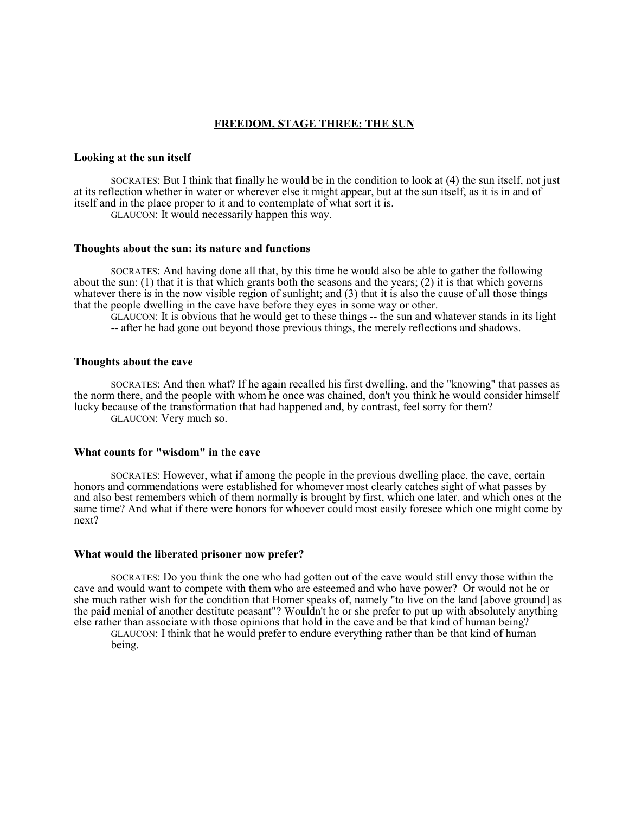### **FREEDOM, STAGE THREE: THE SUN**

#### **Looking at the sun itself**

SOCRATES: But I think that finally he would be in the condition to look at (4) the sun itself, not just at its reflection whether in water or wherever else it might appear, but at the sun itself, as it is in and of itself and in the place proper to it and to contemplate of what sort it is.

GLAUCON: It would necessarily happen this way.

#### **Thoughts about the sun: its nature and functions**

SOCRATES: And having done all that, by this time he would also be able to gather the following about the sun: (1) that it is that which grants both the seasons and the years; (2) it is that which governs whatever there is in the now visible region of sunlight; and (3) that it is also the cause of all those things that the people dwelling in the cave have before they eyes in some way or other.

GLAUCON: It is obvious that he would get to these things -- the sun and whatever stands in its light

-- after he had gone out beyond those previous things, the merely reflections and shadows.

#### **Thoughts about the cave**

SOCRATES: And then what? If he again recalled his first dwelling, and the "knowing" that passes as the norm there, and the people with whom he once was chained, don't you think he would consider himself lucky because of the transformation that had happened and, by contrast, feel sorry for them? GLAUCON: Very much so.

#### **What counts for "wisdom" in the cave**

SOCRATES: However, what if among the people in the previous dwelling place, the cave, certain honors and commendations were established for whomever most clearly catches sight of what passes by and also best remembers which of them normally is brought by first, which one later, and which ones at the same time? And what if there were honors for whoever could most easily foresee which one might come by next?

#### **What would the liberated prisoner now prefer?**

SOCRATES: Do you think the one who had gotten out of the cave would still envy those within the cave and would want to compete with them who are esteemed and who have power? Or would not he or she much rather wish for the condition that Homer speaks of, namely "to live on the land [above ground] as the paid menial of another destitute peasant"? Wouldn't he or she prefer to put up with absolutely anything else rather than associate with those opinions that hold in the cave and be that kind of human being?

GLAUCON: I think that he would prefer to endure everything rather than be that kind of human being.